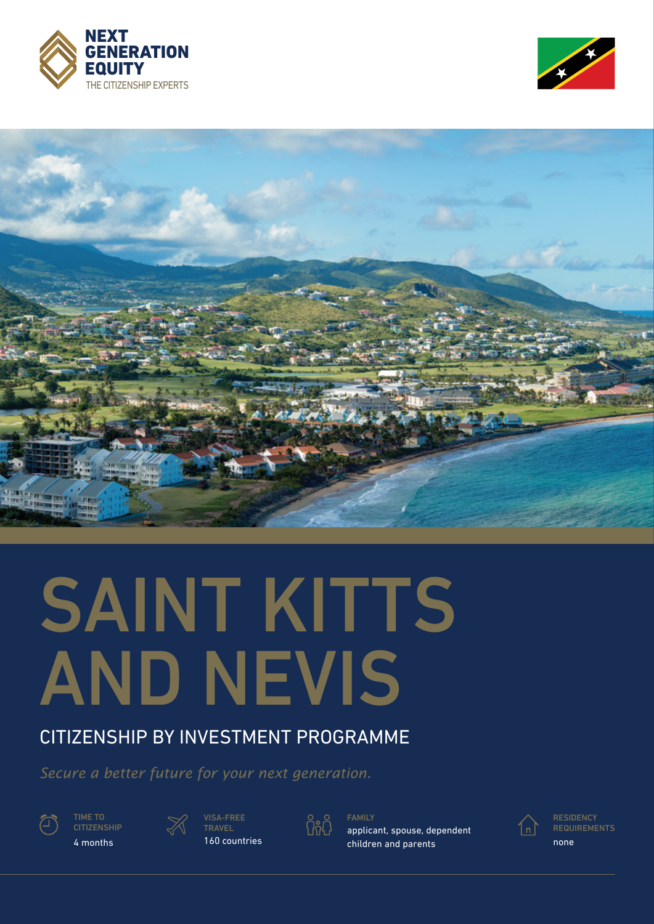





# SAINT KITTS AND NEVIS

# CITIZENSHIP BY INVESTMENT PROGRAMME

*Secure a better future for your next generation.*



4 months



TRAVEL 160 countries กีลคั

FAMILY

applicant, spouse, dependent children and parents

1 ո |

**RESIDENCY REQUIREMENTS** 

none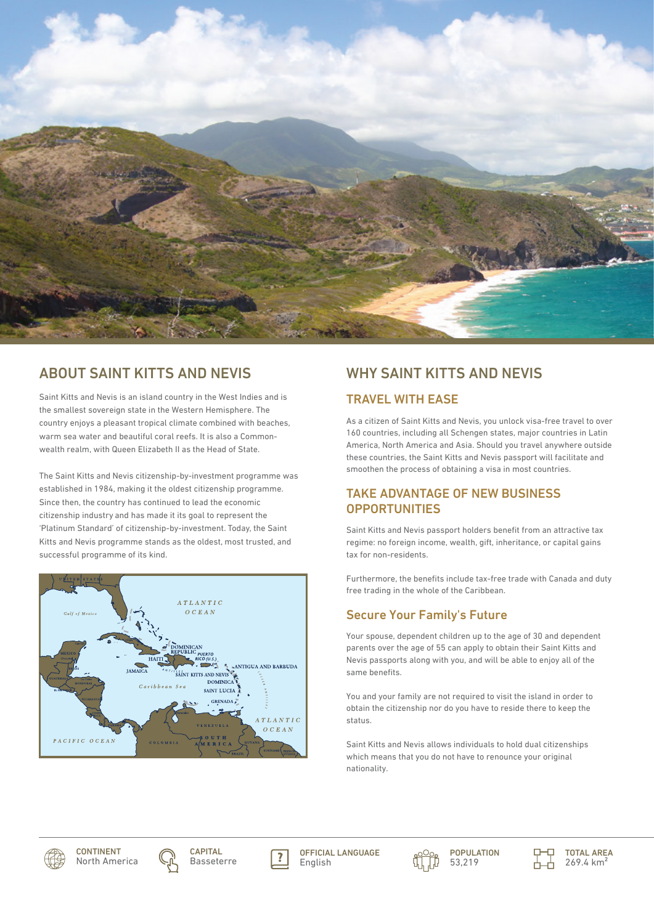

# ABOUT SAINT KITTS AND NEVIS

Saint Kitts and Nevis is an island country in the West Indies and is the smallest sovereign state in the Western Hemisphere. The country enjoys a pleasant tropical climate combined with beaches, warm sea water and beautiful coral reefs. It is also a Commonwealth realm, with Queen Elizabeth II as the Head of State.

The Saint Kitts and Nevis citizenship-by-investment programme was established in 1984, making it the oldest citizenship programme. Since then, the country has continued to lead the economic citizenship industry and has made it its goal to represent the 'Platinum Standard' of citizenship-by-investment. Today, the Saint Kitts and Nevis programme stands as the oldest, most trusted, and successful programme of its kind.



# WHY SAINT KITTS AND NEVIS

# TRAVEL WITH EASE

As a citizen of Saint Kitts and Nevis, you unlock visa-free travel to over 160 countries, including all Schengen states, major countries in Latin America, North America and Asia. Should you travel anywhere outside these countries, the Saint Kitts and Nevis passport will facilitate and smoothen the process of obtaining a visa in most countries.

# TAKE ADVANTAGE OF NEW BUSINESS **OPPORTUNITIES**

Saint Kitts and Nevis passport holders benefit from an attractive tax regime: no foreign income, wealth, gift, inheritance, or capital gains tax for non-residents.

Furthermore, the benefits include tax-free trade with Canada and duty free trading in the whole of the Caribbean.

# Secure Your Family's Future

Your spouse, dependent children up to the age of 30 and dependent parents over the age of 55 can apply to obtain their Saint Kitts and Nevis passports along with you, and will be able to enjoy all of the same benefits.

You and your family are not required to visit the island in order to obtain the citizenship nor do you have to reside there to keep the status.

Saint Kitts and Nevis allows individuals to hold dual citizenships which means that you do not have to renounce your original nationality.









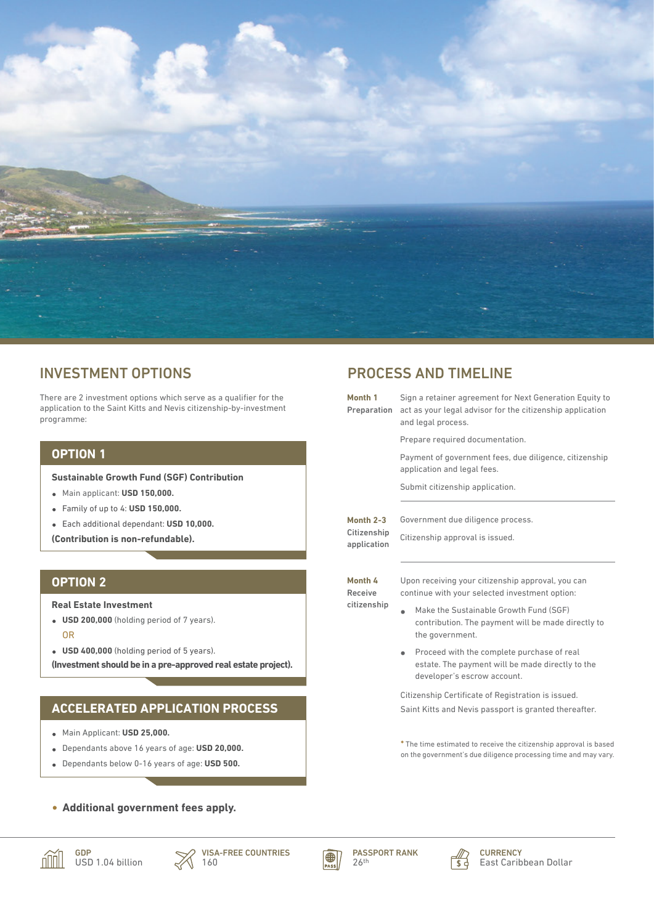

# INVESTMENT OPTIONS

There are 2 investment options which serve as a qualifier for the application to the Saint Kitts and Nevis citizenship-by-investment programme:

## **OPTION 1**

**Sustainable Growth Fund (SGF) Contribution**

- Main applicant: **USD 150,000.**
- Family of up to 4: **USD 150,000.**
- Each additional dependant: **USD 10,000.**
- **(Contribution is non-refundable).**

#### **OPTION 2**

**Real Estate Investment**

- **USD 200,000** (holding period of 7 years). OR
- **USD 400,000** (holding period of 5 years).

**(Investment should be in a pre-approved real estate project).** 

# **ACCELERATED APPLICATION PROCESS**

- Main Applicant: **USD 25,000.**
- Dependants above 16 years of age: **USD 20,000.**
- Dependants below 0-16 years of age: **USD 500.**

#### **Additional government fees apply.**

GDP



VISA-FREE COUNTRIES 160



4



**CURRENCY** East Caribbean Dollar

# PROCESS AND TIMELINE

| Month 1<br>Preparation                  | Sign a retainer agreement for Next Generation Equity to<br>act as your legal advisor for the citizenship application<br>and legal process.    |
|-----------------------------------------|-----------------------------------------------------------------------------------------------------------------------------------------------|
|                                         | Prepare required documentation.                                                                                                               |
|                                         | Payment of government fees, due diligence, citizenship<br>application and legal fees.                                                         |
|                                         | Submit citizenship application.                                                                                                               |
| Month 2-3<br>Citizenship<br>application | Government due diligence process.<br>Citizenship approval is issued.                                                                          |
| Month 4<br>Receive<br>citizenship       | Upon receiving your citizenship approval, you can<br>continue with your selected investment option:<br>Make the Sustainable Growth Fund (SGF) |
|                                         | contribution. The payment will be made directly to<br>the government.                                                                         |
|                                         | Proceed with the complete purchase of real<br>estate. The payment will be made directly to the<br>developer's escrow account.                 |
|                                         | Citizenship Certificate of Registration is issued.<br>Saint Kitts and Nevis passport is granted thereafter.                                   |

**\*** The time estimated to receive the citizenship approval is based on the government's due diligence processing time and may vary.